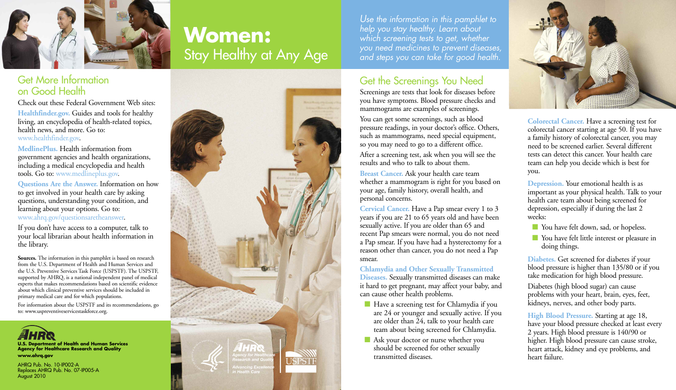

# **Women:** Stay Healthy at Any Age

### Get More Information on Good Health

Check out these Federal Government Web sites: **Healthfinder.gov.** Guides and tools for healthy living, an encyclopedia of health-related topics, health news, and more. Go to: www.healthfinder.gov.

**MedlinePlus.** Health information from government agencies and health organizations, including a medical encyclopedia and health tools. Go to: www.medlineplus.gov.

**Questions Are the Answer.** Information on how to get involved in your health care by asking questions, understanding your condition, and learning about your options. Go to: www.ahrq.gov/questionsaretheanswer.

If you don't have access to a computer, talk to your local librarian about health information in the library.

**Sources.** The information in this pamphlet is based on research from the U.S. Department of Health and Human Services and the U.S. Preventive Services Task Force (USPSTF). The USPSTF, supported by AHRQ, is a national independent panel of medical experts that makes recommendations based on scientific evidence about which clinical preventive services should be included in primary medical care and for which populations.

For information about the USPSTF and its recommendations, go to: www.uspreventiveservicestaskforce.org.



Replaces AHRQ Pub. No. 07-IP005-A August 2010



*Use the information in this pamphlet to help you stay healthy. Learn about which screening tests to get, whether you need medicines to prevent diseases, and steps you can take for good health.*

### Get the Screenings You Need

Screenings are tests that look for diseases before you have symptoms. Blood pressure checks and mammograms are examples of screenings.

You can get some screenings, such as blood pressure readings, in your doctor's office. Others, such as mammograms, need special equipment, so you may need to go to a different office. After a screening test, ask when you will see the results and who to talk to about them.

**Breast Cancer.** Ask your health care team whether a mammogram is right for you based on your age, family history, overall health, and personal concerns.

**Cervical Cancer.** Have a Pap smear every 1 to 3 years if you are 21 to 65 years old and have been sexually active. If you are older than 65 and recent Pap smears were normal, you do not need a Pap smear. If you have had a hysterectomy for a reason other than cancer, you do not need a Pap smear.

**Chlamydia and Other Sexually Transmitted Diseases.** Sexually transmitted diseases can make it hard to get pregnant, may affect your baby, and can cause other health problems.

- **n** Have a screening test for Chlamydia if you are 24 or younger and sexually active. If you are older than 24, talk to your health care team about being screened for Chlamydia.
- **n** Ask your doctor or nurse whether you should be screened for other sexually transmitted diseases.



**Colorectal Cancer.** Have a screening test for colorectal cancer starting at age 50. If you have a family history of colorectal cancer, you may need to be screened earlier. Several different tests can detect this cancer. Your health care team can help you decide which is best for you.

**Depression.** Your emotional health is as important as your physical health. Talk to your health care team about being screened for depression, especially if during the last 2 weeks:

- **Nou have felt down, sad, or hopeless.**
- **n** You have felt little interest or pleasure in doing things.

**Diabetes.** Get screened for diabetes if your blood pressure is higher than 135/80 or if you take medication for high blood pressure.

Diabetes (high blood sugar) can cause problems with your heart, brain, eyes, feet, kidneys, nerves, and other body parts.

**High Blood Pressure.** Starting at age 18, have your blood pressure checked at least every 2 years. High blood pressure is 140/90 or higher. High blood pressure can cause stroke, heart attack, kidney and eye problems, and heart failure.